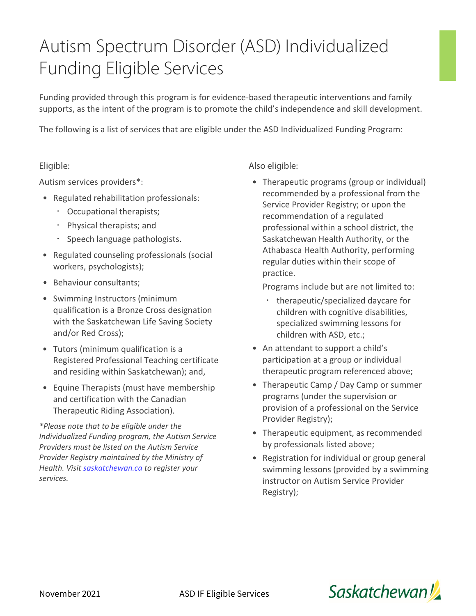## Autism Spectrum Disorder (ASD) Individualized Funding Eligible Services

Funding provided through this program is for evidence-based therapeutic interventions and family supports, as the intent of the program is to promote the child's independence and skill development.

The following is a list of services that are eligible under the ASD Individualized Funding Program:

## Eligible:

Autism services providers\*:

- Regulated rehabilitation professionals:
	- Occupational therapists;
	- Physical therapists; and
	- · Speech language pathologists.
- Regulated counseling professionals (social workers, psychologists);
- Behaviour consultants;
- Swimming Instructors (minimum qualification is a Bronze Cross designation with the Saskatchewan Life Saving Society and/or Red Cross);
- Tutors (minimum qualification is a Registered Professional Teaching certificate and residing within Saskatchewan); and,
- Equine Therapists (must have membership and certification with the Canadian Therapeutic Riding Association).

*\*Please note that to be eligible under the Individualized Funding program, the Autism Service Providers must be listed on the Autism Service Provider Registry maintained by the Ministry of Health. Visit [saskatchewan.ca](https://www.saskatchewan.ca/residents/health/accessing-health-care-services/health-services-for-people-with-disabilities/autism-services#individualized-funding) to register your services.*

## Also eligible:

• Therapeutic programs (group or individual) recommended by a professional from the Service Provider Registry; or upon the recommendation of a regulated professional within a school district, the Saskatchewan Health Authority, or the Athabasca Health Authority, performing regular duties within their scope of practice.

Programs include but are not limited to:

- therapeutic/specialized daycare for children with cognitive disabilities, specialized swimming lessons for children with ASD, etc.;
- An attendant to support a child's participation at a group or individual therapeutic program referenced above;
- Therapeutic Camp / Day Camp or summer programs (under the supervision or provision of a professional on the Service Provider Registry);
- Therapeutic equipment, as recommended by professionals listed above;
- Registration for individual or group general swimming lessons (provided by a swimming instructor on Autism Service Provider Registry);